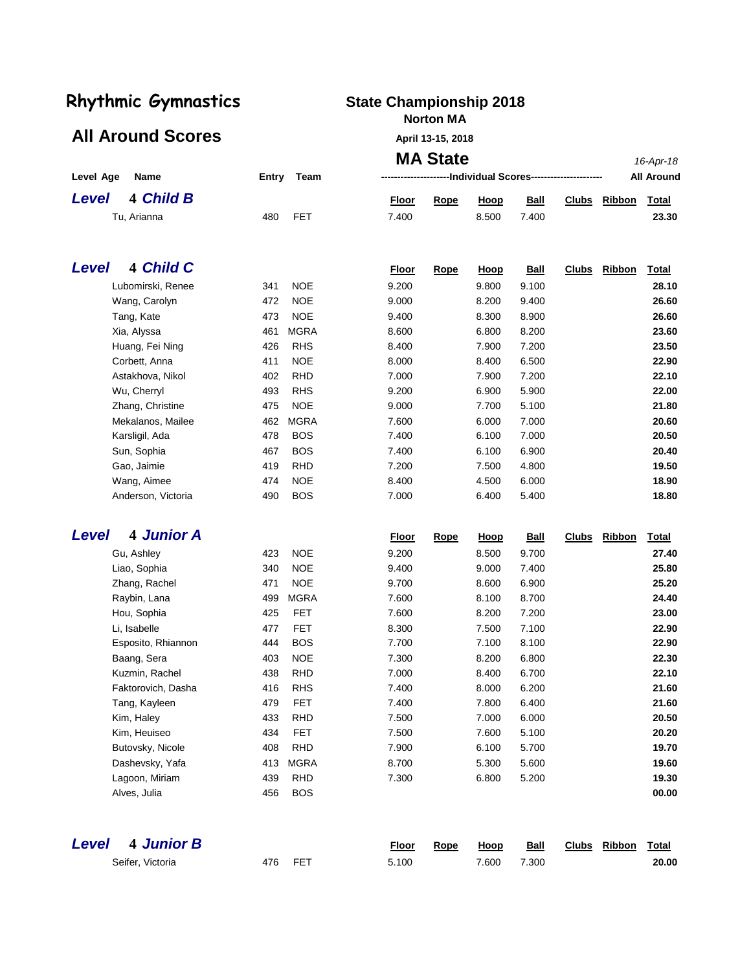### All Around Scores **April 13-15, 2018**

## **Norton MA**

|                                     |                                         |                | <b>MA State</b> |                             |                |              |               | 16-Apr-18         |
|-------------------------------------|-----------------------------------------|----------------|-----------------|-----------------------------|----------------|--------------|---------------|-------------------|
| Level Age<br>Name                   | Entry<br>Team                           |                |                 | ---Individual Scores------- |                |              |               | <b>All Around</b> |
| <b>4 Child B</b><br><b>Level</b>    |                                         | <u>Floor</u>   | Rope            | <b>Hoop</b>                 | <b>Ball</b>    | <b>Clubs</b> | <b>Ribbon</b> | <b>Total</b>      |
| Tu, Arianna                         | <b>FET</b><br>480                       | 7.400          |                 | 8.500                       | 7.400          |              |               | 23.30             |
|                                     |                                         |                |                 |                             |                |              |               |                   |
| <b>4 Child C</b><br><b>Level</b>    |                                         | <b>Floor</b>   | Rope            | <u>Hoop</u>                 | <b>Ball</b>    | <b>Clubs</b> | <b>Ribbon</b> | Total             |
| Lubomirski, Renee                   | 341<br><b>NOE</b>                       | 9.200          |                 | 9.800                       | 9.100          |              |               | 28.10             |
| Wang, Carolyn                       | <b>NOE</b><br>472                       | 9.000          |                 | 8.200                       | 9.400          |              |               | 26.60             |
| Tang, Kate                          | <b>NOE</b><br>473                       | 9.400          |                 | 8.300                       | 8.900          |              |               | 26.60             |
| Xia, Alyssa                         | <b>MGRA</b><br>461                      | 8.600          |                 | 6.800                       | 8.200          |              |               | 23.60             |
| Huang, Fei Ning                     | 426<br><b>RHS</b>                       | 8.400          |                 | 7.900                       | 7.200          |              |               | 23.50             |
| Corbett, Anna                       | <b>NOE</b><br>411                       | 8.000          |                 | 8.400                       | 6.500          |              |               | 22.90             |
| Astakhova, Nikol                    | 402<br><b>RHD</b>                       | 7.000          |                 | 7.900                       | 7.200          |              |               | 22.10             |
| Wu, Cherryl                         | 493<br><b>RHS</b>                       | 9.200          |                 | 6.900                       | 5.900          |              |               | 22.00             |
| Zhang, Christine                    | <b>NOE</b><br>475                       | 9.000          |                 | 7.700                       | 5.100          |              |               | 21.80             |
| Mekalanos, Mailee                   | <b>MGRA</b><br>462                      | 7.600          |                 | 6.000                       | 7.000          |              |               | 20.60             |
| Karsligil, Ada                      | <b>BOS</b><br>478                       | 7.400          |                 | 6.100                       | 7.000          |              |               | 20.50             |
| Sun, Sophia                         | <b>BOS</b><br>467                       | 7.400          |                 | 6.100                       | 6.900          |              |               | 20.40             |
| Gao, Jaimie                         | 419<br><b>RHD</b>                       | 7.200          |                 | 7.500                       | 4.800          |              |               | 19.50             |
| Wang, Aimee                         | 474<br><b>NOE</b>                       | 8.400          |                 | 4.500                       | 6.000          |              |               | 18.90             |
| Anderson, Victoria                  | 490<br><b>BOS</b>                       | 7.000          |                 | 6.400                       | 5.400          |              |               | 18.80             |
| <b>4 Junior A</b><br>Level          |                                         |                |                 |                             |                | <b>Clubs</b> | Ribbon        |                   |
|                                     |                                         | <b>Floor</b>   | <u>Rope</u>     | Hoop                        | <b>Ball</b>    |              |               | Total             |
| Gu, Ashley                          | <b>NOE</b><br>423                       | 9.200          |                 | 8.500                       | 9.700          |              |               | 27.40             |
| Liao, Sophia                        | <b>NOE</b><br>340                       | 9.400          |                 | 9.000                       | 7.400          |              |               | 25.80             |
| Zhang, Rachel                       | <b>NOE</b><br>471                       | 9.700          |                 | 8.600                       | 6.900          |              |               | 25.20             |
| Raybin, Lana                        | <b>MGRA</b><br>499                      | 7.600          |                 | 8.100                       | 8.700          |              |               | 24.40             |
| Hou, Sophia                         | 425<br><b>FET</b>                       | 7.600          |                 | 8.200                       | 7.200          |              |               | 23.00             |
| Li, Isabelle                        | 477<br><b>FET</b>                       | 8.300          |                 | 7.500                       | 7.100          |              |               | 22.90<br>22.90    |
| Esposito, Rhiannon                  | <b>BOS</b><br>444<br>403<br><b>NOE</b>  | 7.700<br>7.300 |                 | 7.100<br>8.200              | 8.100<br>6.800 |              |               | 22.30             |
| Baang, Sera                         | <b>RHD</b>                              | 7.000          |                 |                             |                |              |               | 22.10             |
| Kuzmin, Rachel                      | 438<br>416<br><b>RHS</b>                | 7.400          |                 | 8.400<br>8.000              | 6.700<br>6.200 |              |               | 21.60             |
| Faktorovich, Dasha<br>Tang, Kayleen |                                         | 7.400          |                 |                             |                |              |               | 21.60             |
|                                     | 479<br>FET<br>433                       | 7.500          |                 | 7.800<br>7.000              | 6.400<br>6.000 |              |               | 20.50             |
| Kim, Haley<br>Kim, Heuiseo          | <b>RHD</b><br>FET<br>434                | 7.500          |                 | 7.600                       | 5.100          |              |               | 20.20             |
|                                     |                                         |                |                 |                             |                |              |               |                   |
| Butovsky, Nicole                    | <b>RHD</b><br>408                       | 7.900          |                 | 6.100                       | 5.700          |              |               | 19.70             |
| Dashevsky, Yafa<br>Lagoon, Miriam   | <b>MGRA</b><br>413<br>439<br><b>RHD</b> | 8.700<br>7.300 |                 | 5.300<br>6.800              | 5.600<br>5.200 |              |               | 19.60<br>19.30    |
| Alves, Julia                        | <b>BOS</b><br>456                       |                |                 |                             |                |              |               | 00.00             |
|                                     |                                         |                |                 |                             |                |              |               |                   |
|                                     |                                         |                |                 |                             |                |              |               |                   |
| <b>4 Junior B</b><br>Level          |                                         | Floor          | Rope            | <b>Hoop</b>                 | <b>Ball</b>    |              | Clubs Ribbon  | <b>Total</b>      |
| Seifer, Victoria                    | FET<br>476                              | 5.100          |                 | 7.600                       | 7.300          |              |               | 20.00             |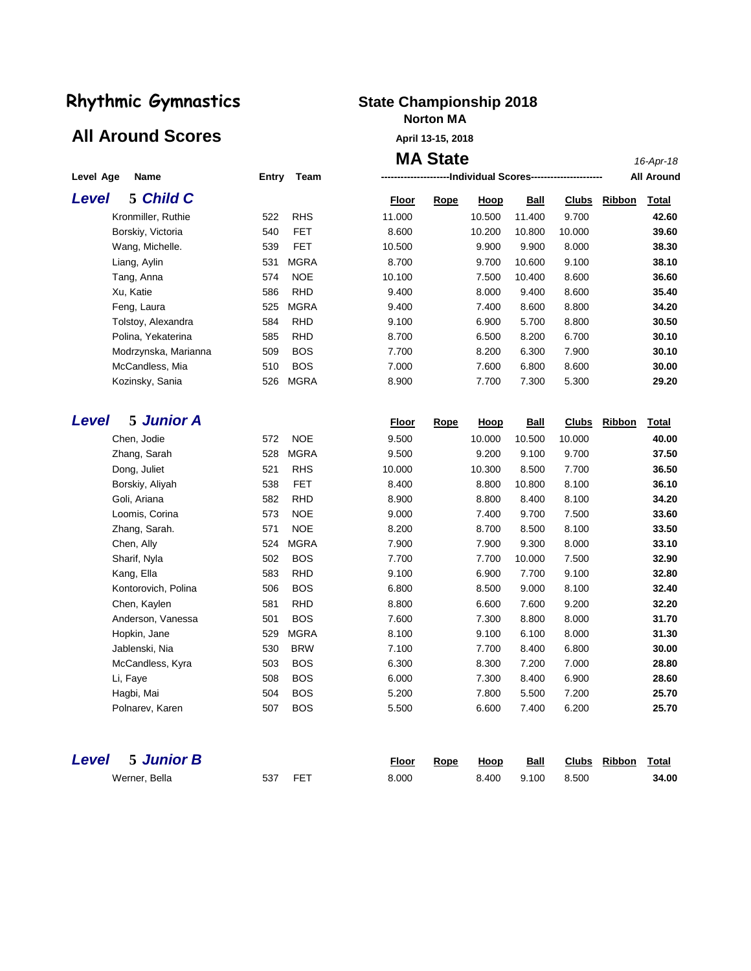## All Around Scores **April 13-15, 2018**

## **Norton MA**

|                            |                    | <b>MA State</b>                                                    | 16-Apr-18              |
|----------------------------|--------------------|--------------------------------------------------------------------|------------------------|
| Level Age<br>Name          | Team<br>Entry      | --Individual Scores---                                             | <b>All Around</b>      |
| 5 Child C<br><b>Level</b>  |                    | <b>Floor</b><br><b>Rope</b><br><u>Hoop</u><br><b>Ball</b><br>Clubs | Ribbon<br><b>Total</b> |
| Kronmiller, Ruthie         | <b>RHS</b><br>522  | 11.000<br>10.500<br>11.400<br>9.700                                | 42.60                  |
| Borskiy, Victoria          | <b>FET</b><br>540  | 8.600<br>10.200<br>10.800<br>10.000                                | 39.60                  |
| Wang, Michelle.            | 539<br>FET         | 10.500<br>9.900<br>9.900<br>8.000                                  | 38.30                  |
| Liang, Aylin               | <b>MGRA</b><br>531 | 8.700<br>9.700<br>10.600<br>9.100                                  | 38.10                  |
| Tang, Anna                 | 574<br><b>NOE</b>  | 10.100<br>7.500<br>10.400<br>8.600                                 | 36.60                  |
| Xu, Katie                  | <b>RHD</b><br>586  | 9.400<br>8.000<br>9.400<br>8.600                                   | 35.40                  |
| Feng, Laura                | <b>MGRA</b><br>525 | 9.400<br>7.400<br>8.600<br>8.800                                   | 34.20                  |
| Tolstoy, Alexandra         | 584<br><b>RHD</b>  | 5.700<br>8.800<br>9.100<br>6.900                                   | 30.50                  |
| Polina, Yekaterina         | 585<br><b>RHD</b>  | 8.700<br>6.500<br>8.200<br>6.700                                   | 30.10                  |
| Modrzynska, Marianna       | <b>BOS</b><br>509  | 7.700<br>8.200<br>6.300<br>7.900                                   | 30.10                  |
| McCandless, Mia            | <b>BOS</b><br>510  | 7.000<br>7.600<br>6.800<br>8.600                                   | 30.00                  |
| Kozinsky, Sania            | <b>MGRA</b><br>526 | 8.900<br>7.700<br>7.300<br>5.300                                   | 29.20                  |
|                            |                    |                                                                    |                        |
| 5 Junior A<br><b>Level</b> |                    | Clubs<br><u>Floor</u><br><b>Rope</b><br><u>Hoop</u><br><u>Ball</u> | Ribbon<br><u>Total</u> |
| Chen, Jodie                | <b>NOE</b><br>572  | 9.500<br>10.000<br>10.000<br>10.500                                | 40.00                  |
| Zhang, Sarah               | <b>MGRA</b><br>528 | 9.700<br>9.500<br>9.200<br>9.100                                   | 37.50                  |
| Dong, Juliet               | 521<br><b>RHS</b>  | 7.700<br>10.000<br>10.300<br>8.500                                 | 36.50                  |
| Borskiy, Aliyah            | 538<br>FET         | 8.400<br>8.800<br>10.800<br>8.100                                  | 36.10                  |
| Goli, Ariana               | 582<br><b>RHD</b>  | 8.900<br>8.800<br>8.400<br>8.100                                   | 34.20                  |
| Loomis, Corina             | <b>NOE</b><br>573  | 9.000<br>7.500<br>7.400<br>9.700                                   | 33.60                  |
| Zhang, Sarah.              | <b>NOE</b><br>571  | 8.100<br>8.200<br>8.700<br>8.500                                   | 33.50                  |
| Chen, Ally                 | <b>MGRA</b><br>524 | 8.000<br>7.900<br>7.900<br>9.300                                   | 33.10                  |
| Sharif, Nyla               | 502<br><b>BOS</b>  | 7.500<br>7.700<br>7.700<br>10.000                                  | 32.90                  |
| Kang, Ella                 | 583<br><b>RHD</b>  | 9.100<br>9.100<br>6.900<br>7.700                                   | 32.80                  |
| Kontorovich, Polina        | <b>BOS</b><br>506  | 6.800<br>9.000<br>8.100<br>8.500                                   | 32.40                  |
| Chen, Kaylen               | 581<br><b>RHD</b>  | 8.800<br>7.600<br>9.200<br>6.600                                   | 32.20                  |
| Anderson, Vanessa          | 501<br><b>BOS</b>  | 7.600<br>8.800<br>8.000<br>7.300                                   | 31.70                  |
| Hopkin, Jane               | <b>MGRA</b><br>529 | 6.100<br>8.000<br>8.100<br>9.100                                   | 31.30                  |
| Jablenski, Nia             | 530<br><b>BRW</b>  | 7.100<br>8.400<br>6.800<br>7.700                                   | 30.00                  |
| McCandless, Kyra           | <b>BOS</b><br>503  | 6.300<br>8.300<br>7.200<br>7.000                                   | 28.80                  |
| Li, Faye                   | 508<br><b>BOS</b>  | 6.000<br>6.900<br>7.300<br>8.400                                   | 28.60                  |
| Hagbi, Mai                 | 504<br><b>BOS</b>  | 5.200<br>7.200<br>7.800<br>5.500                                   | 25.70                  |
| Polnarev, Karen            | 507<br><b>BOS</b>  | 5.500<br>6.600<br>7.400<br>6.200                                   | 25.70                  |
|                            |                    |                                                                    |                        |

| <b>Level</b> 5 Junior B |     |            | Floor | Rope | Hoop  | Ball  |       | Clubs Ribbon Total |       |  |
|-------------------------|-----|------------|-------|------|-------|-------|-------|--------------------|-------|--|
| Werner, Bella           | 537 | <b>FET</b> | 8.000 |      | 8.400 | 9.100 | 8.500 |                    | 34.00 |  |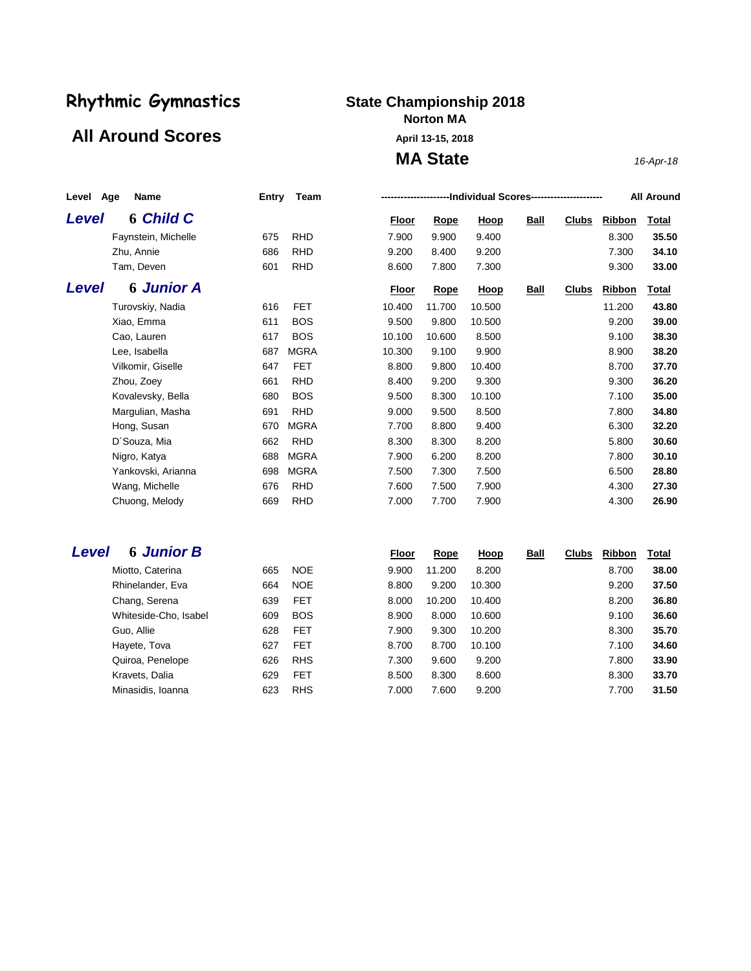### All Around Scores **April 13-15, 2018**

## **Norton MA**

**MA State** *16-Apr-18*

| Name<br>Age<br>Level |                     | Entry | Team        |              | <b>All Around</b><br>----------------------Individual Scores----------------------- |             |             |              |               |              |  |  |
|----------------------|---------------------|-------|-------------|--------------|-------------------------------------------------------------------------------------|-------------|-------------|--------------|---------------|--------------|--|--|
| <b>Level</b>         | <b>6 Child C</b>    |       |             | Floor        | <b>Rope</b>                                                                         | <b>Hoop</b> | <b>Ball</b> | <b>Clubs</b> | Ribbon        | Total        |  |  |
|                      | Faynstein, Michelle | 675   | <b>RHD</b>  | 7.900        | 9.900                                                                               | 9.400       |             |              | 8.300         | 35.50        |  |  |
|                      | Zhu, Annie          | 686   | <b>RHD</b>  | 9.200        | 8.400                                                                               | 9.200       |             |              | 7.300         | 34.10        |  |  |
|                      | Tam, Deven          | 601   | <b>RHD</b>  | 8.600        | 7.800                                                                               | 7.300       |             |              | 9.300         | 33.00        |  |  |
| Level                | <b>6 Junior A</b>   |       |             | <u>Floor</u> | <b>Rope</b>                                                                         | <u>Hoop</u> | <b>Ball</b> | <u>Clubs</u> | <b>Ribbon</b> | <u>Total</u> |  |  |
|                      | Turovskiy, Nadia    | 616   | <b>FET</b>  | 10.400       | 11.700                                                                              | 10.500      |             |              | 11.200        | 43.80        |  |  |
|                      | Xiao, Emma          | 611   | <b>BOS</b>  | 9.500        | 9.800                                                                               | 10.500      |             |              | 9.200         | 39.00        |  |  |
|                      | Cao, Lauren         | 617   | <b>BOS</b>  | 10.100       | 10.600                                                                              | 8.500       |             |              | 9.100         | 38.30        |  |  |
|                      | Lee, Isabella       | 687   | <b>MGRA</b> | 10.300       | 9.100                                                                               | 9.900       |             |              | 8.900         | 38.20        |  |  |
|                      | Vilkomir, Giselle   | 647   | <b>FET</b>  | 8.800        | 9.800                                                                               | 10.400      |             |              | 8.700         | 37.70        |  |  |
|                      | Zhou, Zoey          | 661   | <b>RHD</b>  | 8.400        | 9.200                                                                               | 9.300       |             |              | 9.300         | 36.20        |  |  |
|                      | Kovalevsky, Bella   | 680   | <b>BOS</b>  | 9.500        | 8.300                                                                               | 10.100      |             |              | 7.100         | 35.00        |  |  |
|                      | Margulian, Masha    | 691   | <b>RHD</b>  | 9.000        | 9.500                                                                               | 8.500       |             |              | 7.800         | 34.80        |  |  |
|                      | Hong, Susan         | 670   | <b>MGRA</b> | 7.700        | 8.800                                                                               | 9.400       |             |              | 6.300         | 32.20        |  |  |
|                      | D'Souza, Mia        | 662   | <b>RHD</b>  | 8.300        | 8.300                                                                               | 8.200       |             |              | 5.800         | 30.60        |  |  |
|                      | Nigro, Katya        | 688   | <b>MGRA</b> | 7.900        | 6.200                                                                               | 8.200       |             |              | 7.800         | 30.10        |  |  |
|                      | Yankovski, Arianna  | 698   | <b>MGRA</b> | 7.500        | 7.300                                                                               | 7.500       |             |              | 6.500         | 28.80        |  |  |
|                      | Wang, Michelle      | 676   | <b>RHD</b>  | 7.600        | 7.500                                                                               | 7.900       |             |              | 4.300         | 27.30        |  |  |
|                      | Chuong, Melody      | 669   | <b>RHD</b>  | 7.000        | 7.700                                                                               | 7.900       |             |              | 4.300         | 26.90        |  |  |
|                      |                     |       |             |              |                                                                                     |             |             |              |               |              |  |  |

### *Level* **6** *Junior B* **Floor Rope Hoop Ball Clubs Ribbon Total**

| Miotto, Caterina      | 665 | <b>NOE</b> | 9.900 | 11.200 | 8.200  | 8.700 | 38.00 |
|-----------------------|-----|------------|-------|--------|--------|-------|-------|
| Rhinelander, Eva      | 664 | <b>NOE</b> | 8.800 | 9.200  | 10.300 | 9.200 | 37.50 |
| Chang, Serena         | 639 | <b>FET</b> | 8.000 | 10.200 | 10.400 | 8.200 | 36.80 |
| Whiteside-Cho, Isabel | 609 | <b>BOS</b> | 8.900 | 8.000  | 10.600 | 9.100 | 36.60 |
| Guo, Allie            | 628 | <b>FET</b> | 7.900 | 9.300  | 10.200 | 8.300 | 35.70 |
| Hayete, Tova          | 627 | <b>FET</b> | 8.700 | 8.700  | 10.100 | 7.100 | 34.60 |
| Quiroa, Penelope      | 626 | <b>RHS</b> | 7.300 | 9.600  | 9.200  | 7.800 | 33.90 |
| Kravets, Dalia        | 629 | <b>FET</b> | 8.500 | 8.300  | 8.600  | 8.300 | 33.70 |
| Minasidis, Ioanna     | 623 | <b>RHS</b> | 7.000 | 7.600  | 9.200  | 7.700 | 31.50 |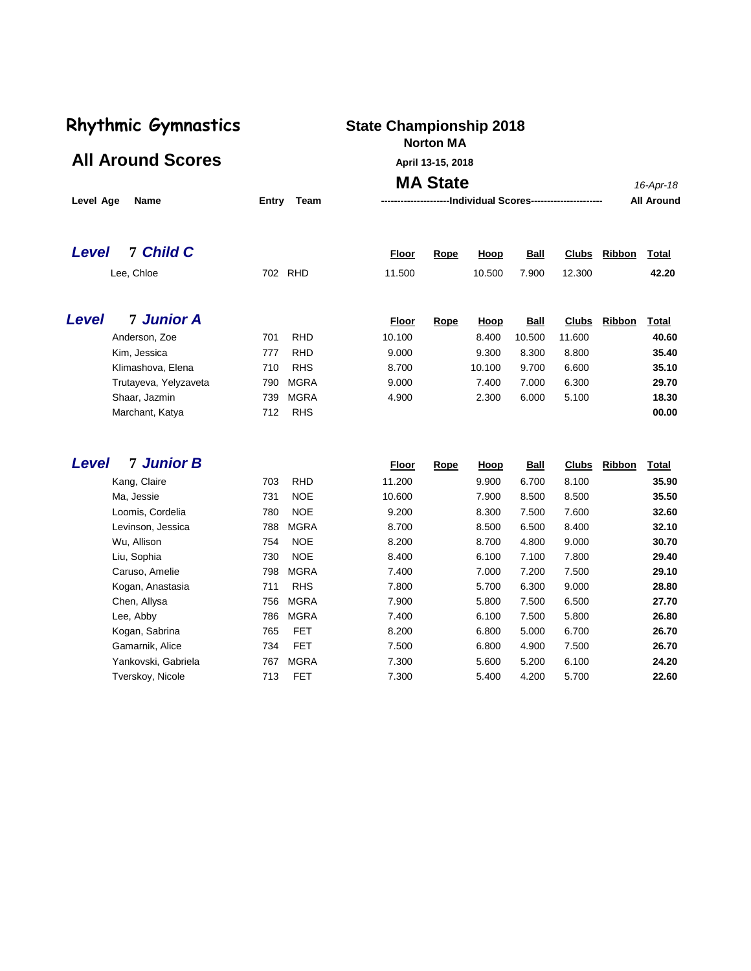### **Norton MA**

All Around Scores **All Around Scores** 

| Level Age<br>Name          | Entry<br>Team      | <b>MA State</b><br>-----------------------Individual Scores----------------------- |             |        |             |        |        |              |  |
|----------------------------|--------------------|------------------------------------------------------------------------------------|-------------|--------|-------------|--------|--------|--------------|--|
| 7 Child C<br>Level         |                    | <b>Floor</b>                                                                       | Rope        | Hoop   | <b>Ball</b> | Clubs  | Ribbon | <b>Total</b> |  |
| Lee, Chloe                 | <b>RHD</b><br>702  | 11.500                                                                             |             | 10.500 | 7.900       | 12.300 |        | 42.20        |  |
| <b>7 Junior A</b><br>Level |                    | <b>Floor</b>                                                                       | <b>Rope</b> | Hoop   | <b>Ball</b> | Clubs  | Ribbon | <u>Total</u> |  |
| Anderson, Zoe              | <b>RHD</b><br>701  | 10.100                                                                             |             | 8.400  | 10.500      | 11.600 |        | 40.60        |  |
| Kim, Jessica               | <b>RHD</b><br>777  | 9.000                                                                              |             | 9.300  | 8.300       | 8.800  |        | 35.40        |  |
| Klimashova, Elena          | <b>RHS</b><br>710  | 8.700                                                                              |             | 10.100 | 9.700       | 6.600  |        | 35.10        |  |
| Trutayeva, Yelyzaveta      | <b>MGRA</b><br>790 | 9.000                                                                              |             | 7.400  | 7.000       | 6.300  |        | 29.70        |  |
| Shaar, Jazmin              | <b>MGRA</b><br>739 | 4.900                                                                              |             | 2.300  | 6.000       | 5.100  |        | 18.30        |  |
| Marchant, Katya            | <b>RHS</b><br>712  |                                                                                    |             |        |             |        |        | 00.00        |  |

| <b>7 Junior B</b><br>Level |     |             | Floor  | Rope | Hoop  | <b>Ball</b> | <b>Clubs</b> | Ribbon | <b>Total</b> |
|----------------------------|-----|-------------|--------|------|-------|-------------|--------------|--------|--------------|
| Kang, Claire               | 703 | <b>RHD</b>  | 11.200 |      | 9.900 | 6.700       | 8.100        |        | 35.90        |
| Ma, Jessie                 | 731 | <b>NOE</b>  | 10.600 |      | 7.900 | 8.500       | 8.500        |        | 35.50        |
| Loomis, Cordelia           | 780 | <b>NOE</b>  | 9.200  |      | 8.300 | 7.500       | 7.600        |        | 32.60        |
| Levinson, Jessica          | 788 | <b>MGRA</b> | 8.700  |      | 8.500 | 6.500       | 8.400        |        | 32.10        |
| Wu, Allison                | 754 | <b>NOE</b>  | 8.200  |      | 8.700 | 4.800       | 9.000        |        | 30.70        |
| Liu, Sophia                | 730 | <b>NOE</b>  | 8.400  |      | 6.100 | 7.100       | 7.800        |        | 29.40        |
| Caruso, Amelie             | 798 | <b>MGRA</b> | 7.400  |      | 7.000 | 7.200       | 7.500        |        | 29.10        |
| Kogan, Anastasia           | 711 | <b>RHS</b>  | 7.800  |      | 5.700 | 6.300       | 9.000        |        | 28.80        |
| Chen, Allysa               | 756 | <b>MGRA</b> | 7.900  |      | 5.800 | 7.500       | 6.500        |        | 27.70        |
| Lee, Abby                  | 786 | <b>MGRA</b> | 7.400  |      | 6.100 | 7.500       | 5.800        |        | 26.80        |
| Kogan, Sabrina             | 765 | <b>FET</b>  | 8.200  |      | 6.800 | 5.000       | 6.700        |        | 26.70        |
| Gamarnik, Alice            | 734 | <b>FET</b>  | 7.500  |      | 6.800 | 4.900       | 7.500        |        | 26.70        |
| Yankovski, Gabriela        | 767 | <b>MGRA</b> | 7.300  |      | 5.600 | 5.200       | 6.100        |        | 24.20        |
| Tverskoy, Nicole           | 713 | <b>FET</b>  | 7.300  |      | 5.400 | 4.200       | 5.700        |        | 22.60        |